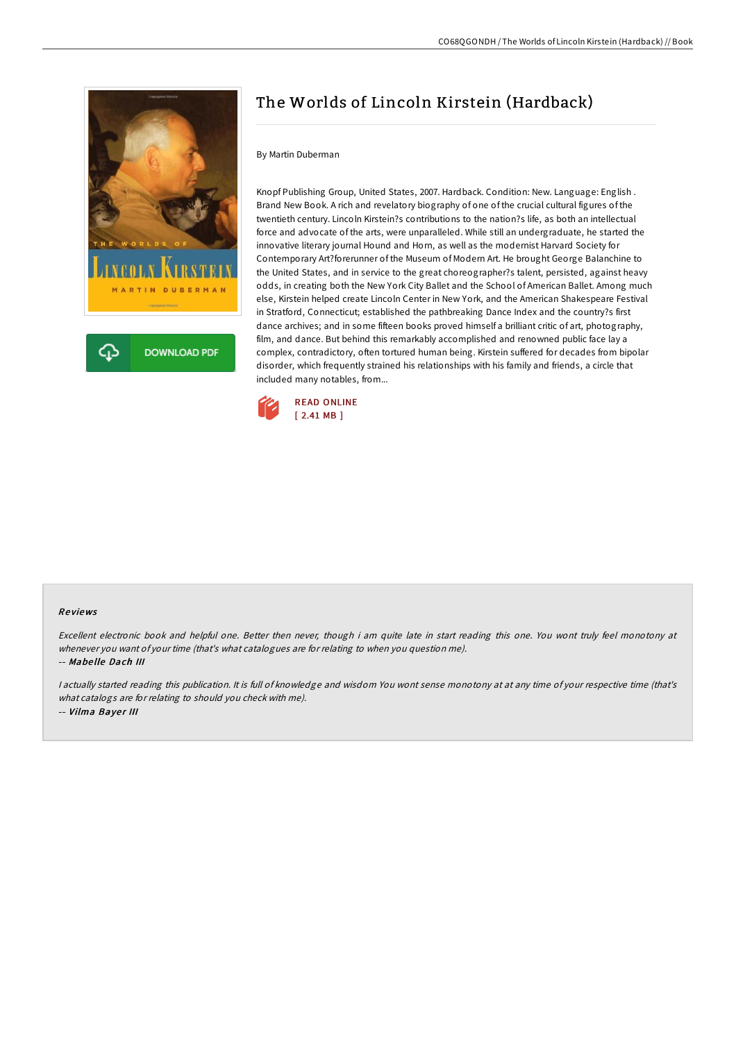

# The Worlds of Lincoln Kirstein (Hardback)

#### By Martin Duberman

Knopf Publishing Group, United States, 2007. Hardback. Condition: New. Language: English . Brand New Book. A rich and revelatory biography of one of the crucial cultural figures of the twentieth century. Lincoln Kirstein?s contributions to the nation?s life, as both an intellectual force and advocate of the arts, were unparalleled. While still an undergraduate, he started the innovative literary journal Hound and Horn, as well as the modernist Harvard Society for Contemporary Art?forerunner of the Museum of Modern Art. He brought George Balanchine to the United States, and in service to the great choreographer?s talent, persisted, against heavy odds, in creating both the New York City Ballet and the School of American Ballet. Among much else, Kirstein helped create Lincoln Center in New York, and the American Shakespeare Festival in Stratford, Connecticut; established the pathbreaking Dance Index and the country?s first dance archives; and in some fifteen books proved himself a brilliant critic of art, photography, film, and dance. But behind this remarkably accomplished and renowned public face lay a complex, contradictory, often tortured human being. Kirstein suffered for decades from bipolar disorder, which frequently strained his relationships with his family and friends, a circle that included many notables, from...



#### Re views

Excellent electronic book and helpful one. Better then never, though i am quite late in start reading this one. You wont truly feel monotony at whenever you want of your time (that's what catalogues are for relating to when you question me). -- Mabe lle Dach III

<sup>I</sup> actually started reading this publication. It is full of knowledge and wisdom You wont sense monotony at at any time of your respective time (that's what catalogs are for relating to should you check with me). -- Vilma Bayer III